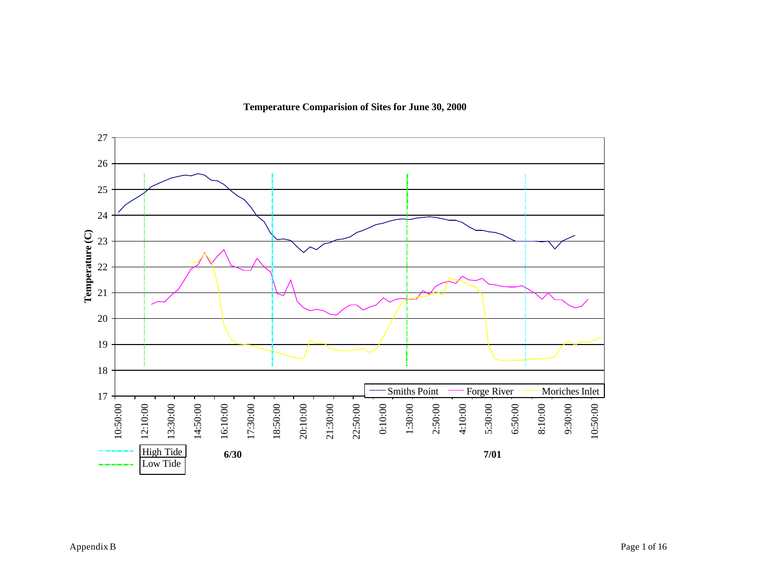

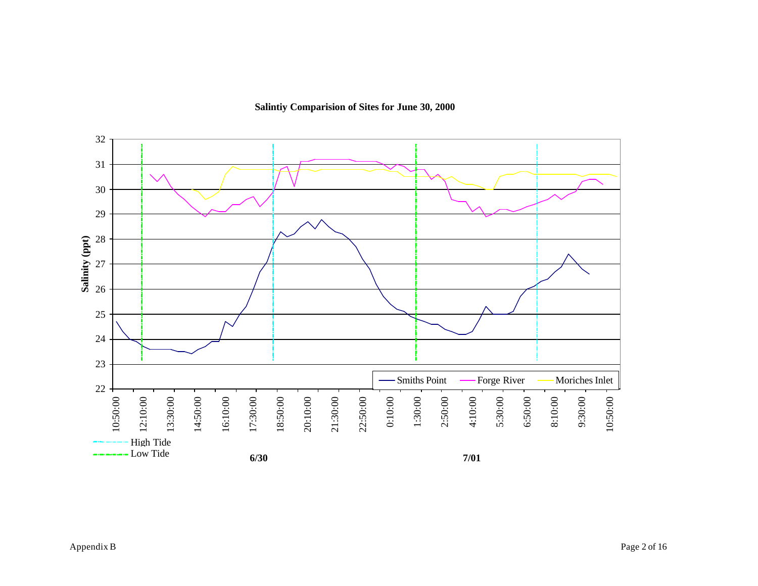**Salintiy Comparision of Sites for June 30, 2000**

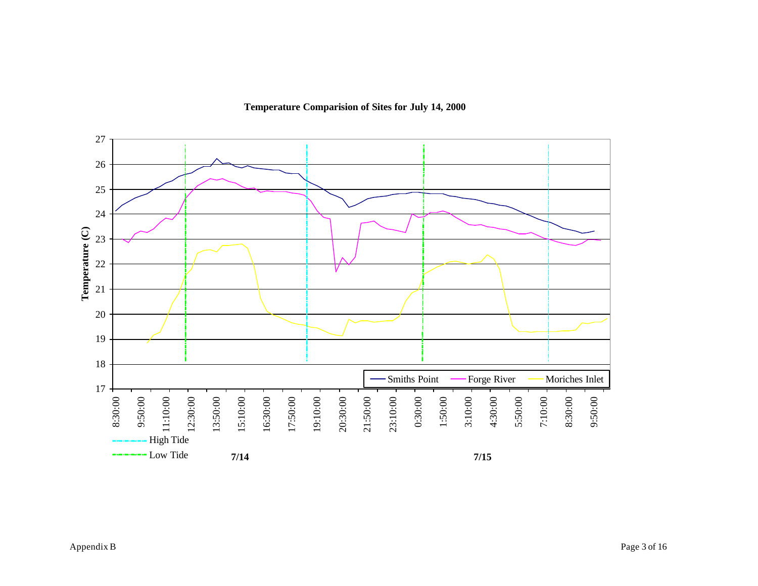**Temperature Comparision of Sites for July 14, 2000**

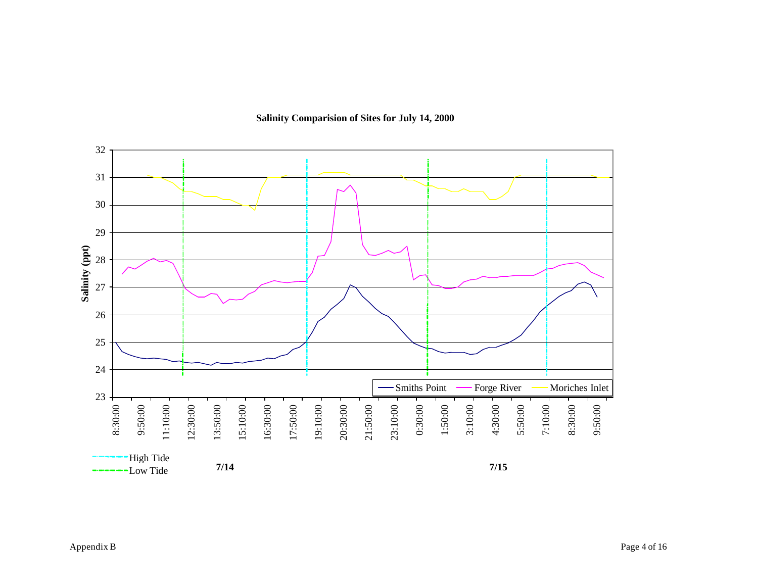

## **Salinity Comparision of Sites for July 14, 2000**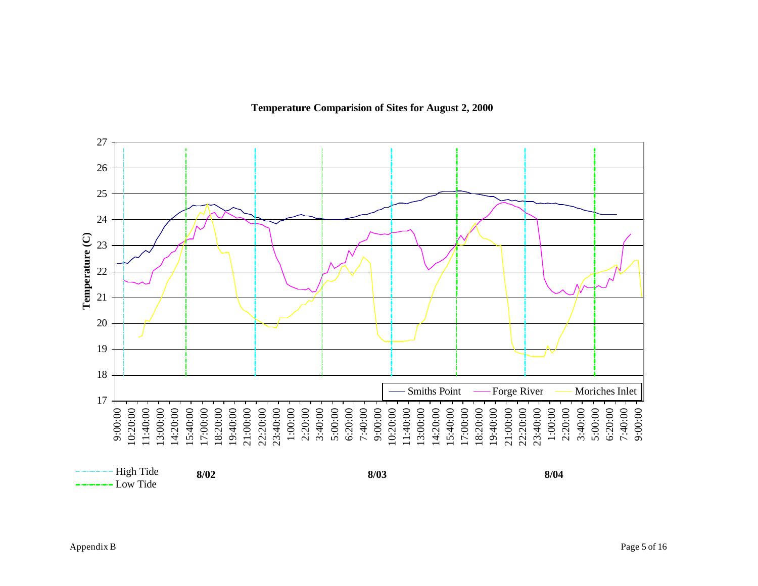



High Tide Low Tide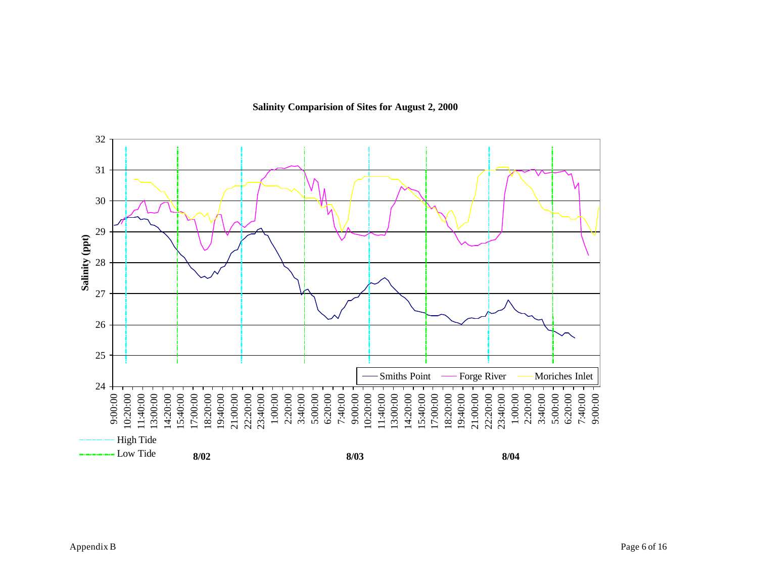**Salinity Comparision of Sites for August 2, 2000**

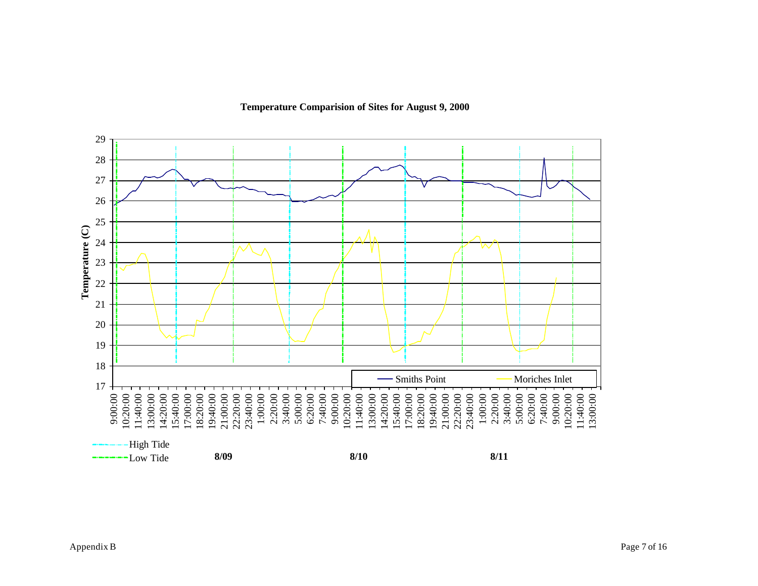**Temperature Comparision of Sites for August 9, 2000**

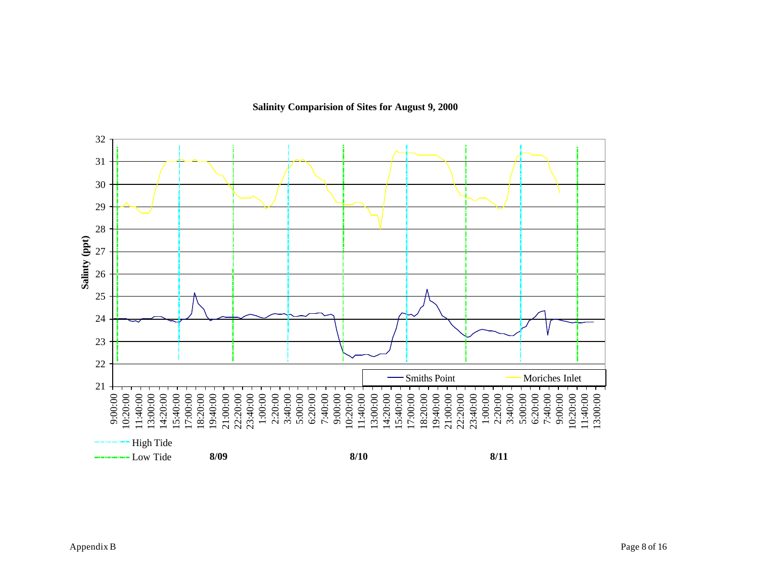32 31 30  $\mathbf{I}$ 29 28 Salinty (ppt) **Salinty (ppt)** 27 26 25 24 23 22 Smiths Point Moriches Inlet 21 18:20:00 5:00:00 6:20:00 9:00:00 10:20:00 11:40:00<br>13:00:00<br>14:20:00<br>15:40:00<br>19:40:00 21:00:00 22:20:00 23:40:00 1:00:00 2:20:00<br>3:40:00<br>5:00:00<br>5:20:00<br>5:20:00<br>7:40:00<br>7:20:00<br>7:00:00<br>5:00:00 14:20:00 15:40:00 17:00:00 19:40:00<br>21:00:00<br>22:20:00<br>23:40:00<br>1:00:00 2:20:00 3:40:00 7:40:00 9:00:00 10:20:00 11:40:00 13:00:00 High Tide Low Tide**8/09 8/10 8/11**

**Salinity Comparision of Sites for August 9, 2000**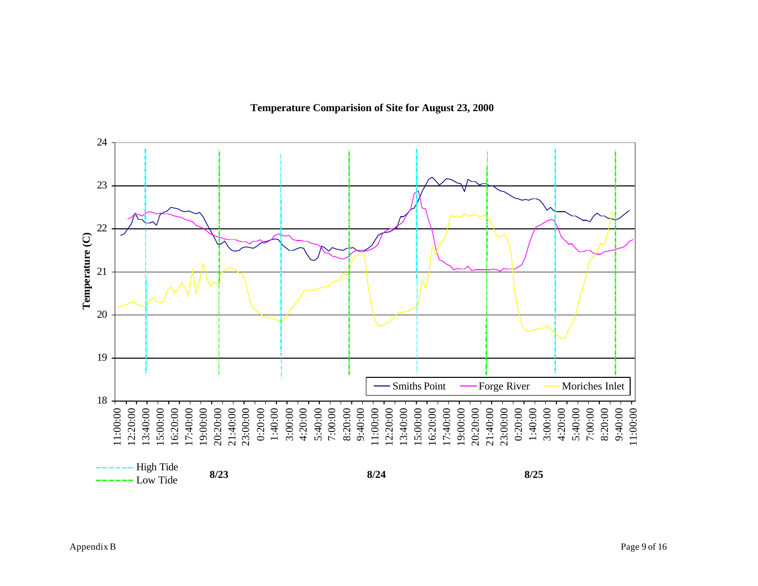**Temperature Comparision of Site for August 23, 2000**

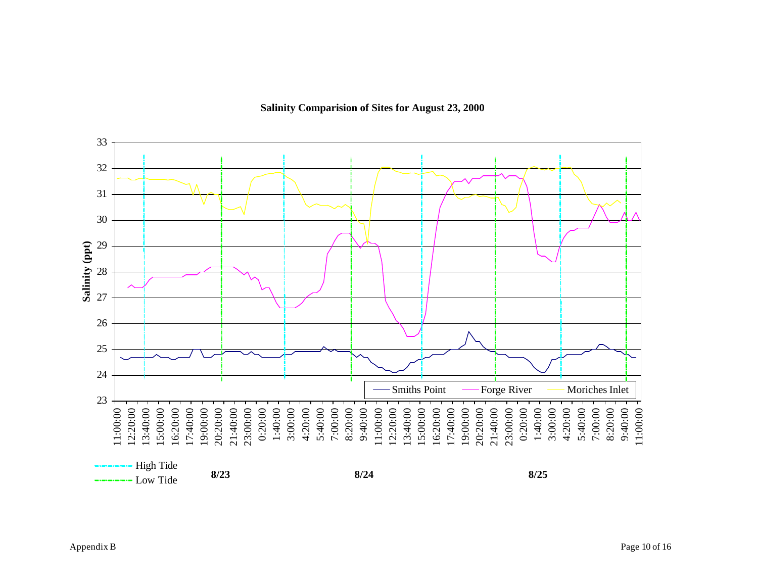**Salinity Comparision of Sites for August 23, 2000**

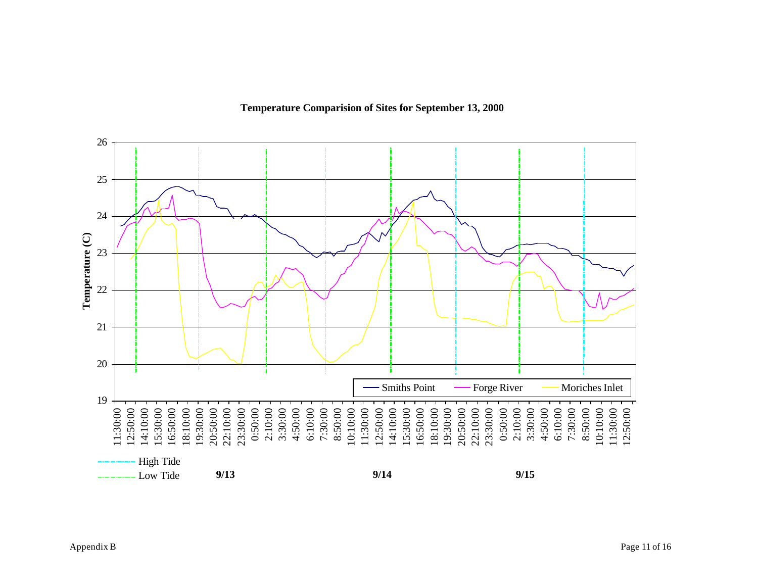



- Low Tide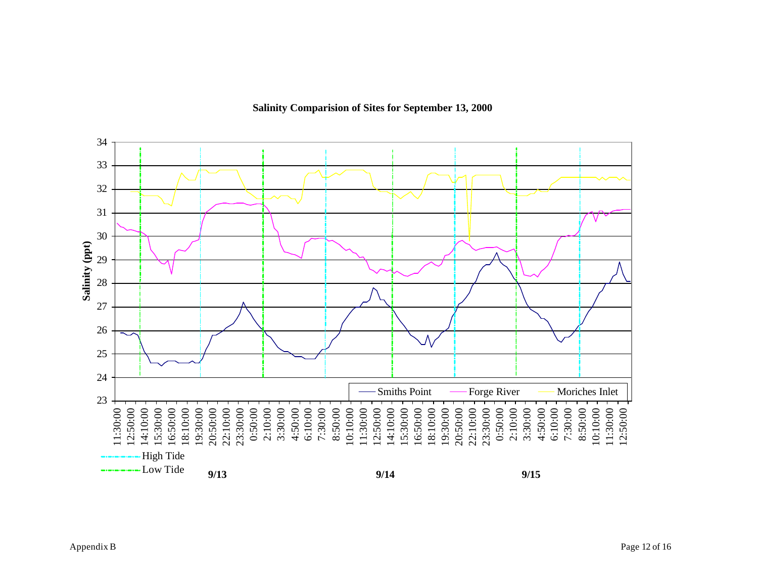

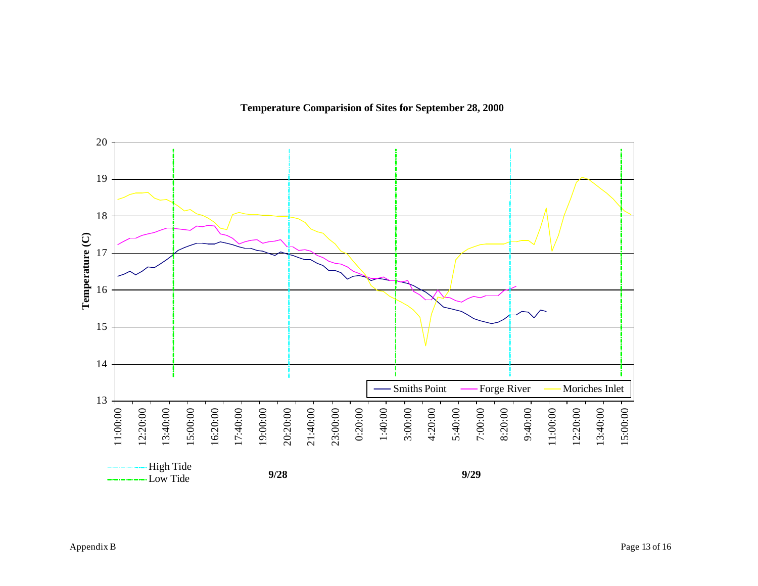

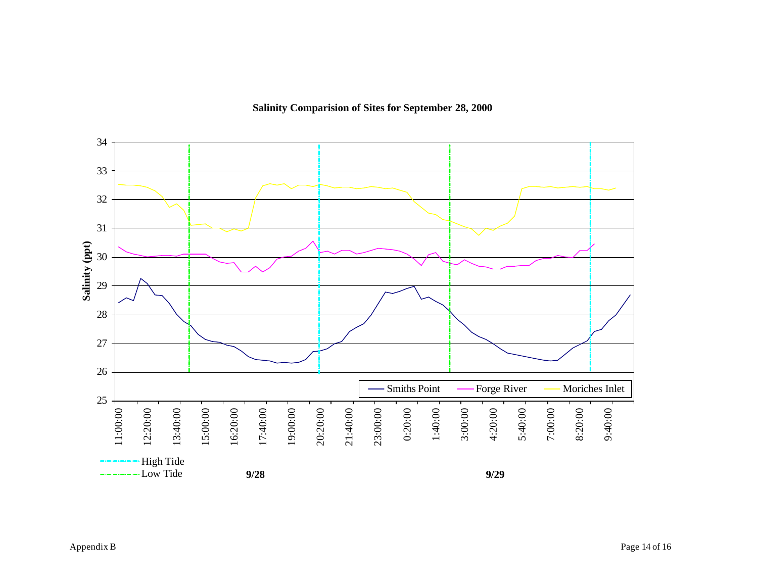

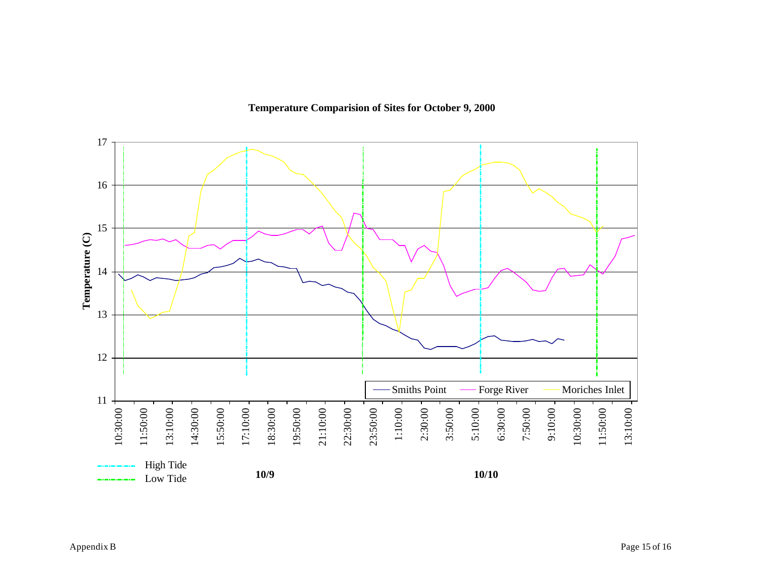**Temperature Comparision of Sites for October 9, 2000**